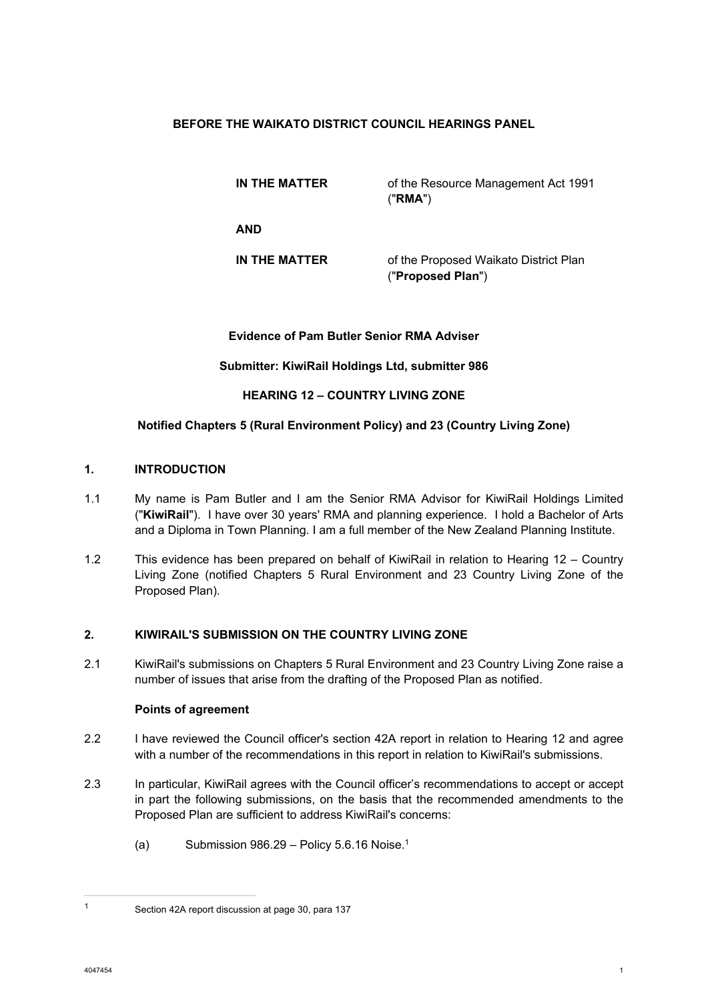## **BEFORE THE WAIKATO DISTRICT COUNCIL HEARINGS PANEL**

**IN THE MATTER** of the Resource Management Act 1991 ("**RMA**")

**AND** 

**IN THE MATTER** of the Proposed Waikato District Plan ("**Proposed Plan**")

### **Evidence of Pam Butler Senior RMA Adviser**

## **Submitter: KiwiRail Holdings Ltd, submitter 986**

## **HEARING 12 – COUNTRY LIVING ZONE**

## **Notified Chapters 5 (Rural Environment Policy) and 23 (Country Living Zone)**

### **1. INTRODUCTION**

- 1.1 My name is Pam Butler and I am the Senior RMA Advisor for KiwiRail Holdings Limited ("**KiwiRail**"). I have over 30 years' RMA and planning experience. I hold a Bachelor of Arts and a Diploma in Town Planning. I am a full member of the New Zealand Planning Institute.
- 1.2 This evidence has been prepared on behalf of KiwiRail in relation to Hearing 12 Country Living Zone (notified Chapters 5 Rural Environment and 23 Country Living Zone of the Proposed Plan).

### **2. KIWIRAIL'S SUBMISSION ON THE COUNTRY LIVING ZONE**

2.1 KiwiRail's submissions on Chapters 5 Rural Environment and 23 Country Living Zone raise a number of issues that arise from the drafting of the Proposed Plan as notified.

### **Points of agreement**

- 2.2 I have reviewed the Council officer's section 42A report in relation to Hearing 12 and agree with a number of the recommendations in this report in relation to KiwiRail's submissions.
- 2.3 In particular, KiwiRail agrees with the Council officer's recommendations to accept or accept in part the following submissions, on the basis that the recommended amendments to the Proposed Plan are sufficient to address KiwiRail's concerns:
	- (a) Submission  $986.29$  Policy 5.6.16 Noise.<sup>1</sup>

<sup>1</sup> Section 42A report discussion at page 30, para 137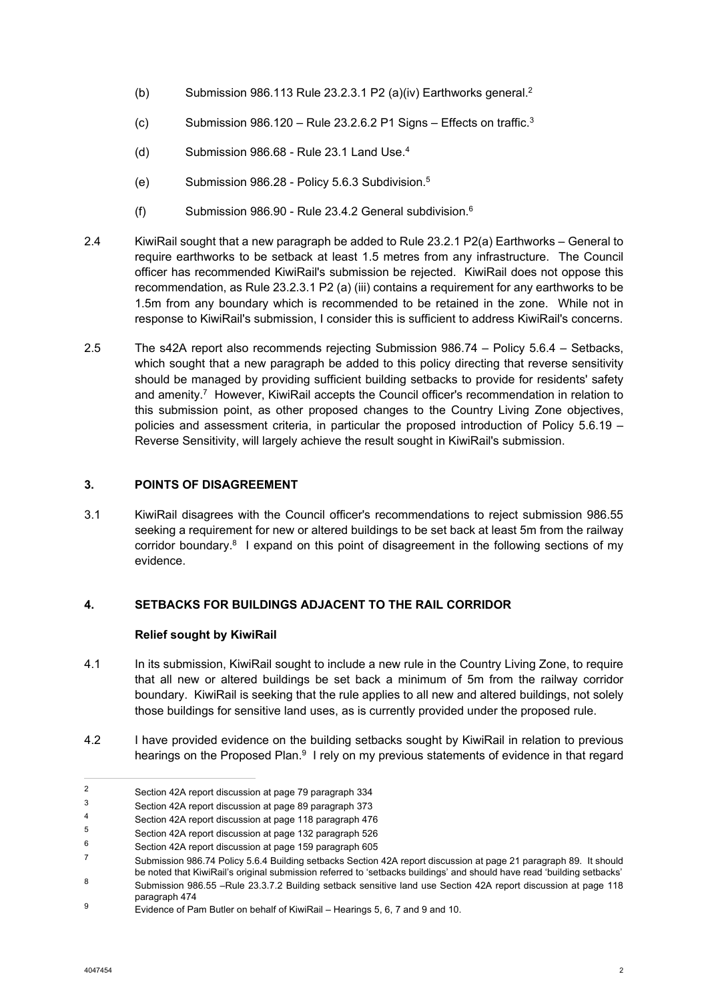- (b) Submission 986.113 Rule 23.2.3.1 P2 (a)(iv) Earthworks general.2
- (c) Submission 986.120 Rule 23.2.6.2 P1 Signs Effects on traffic.<sup>3</sup>
- (d) Submission  $986.68$  Rule 23.1 Land Use. $4$
- (e) Submission 986.28 Policy 5.6.3 Subdivision.5
- (f) Submission 986.90 Rule 23.4.2 General subdivision.6
- 2.4 KiwiRail sought that a new paragraph be added to Rule 23.2.1 P2(a) Earthworks General to require earthworks to be setback at least 1.5 metres from any infrastructure. The Council officer has recommended KiwiRail's submission be rejected. KiwiRail does not oppose this recommendation, as Rule 23.2.3.1 P2 (a) (iii) contains a requirement for any earthworks to be 1.5m from any boundary which is recommended to be retained in the zone. While not in response to KiwiRail's submission, I consider this is sufficient to address KiwiRail's concerns.
- 2.5 The s42A report also recommends rejecting Submission 986.74 Policy 5.6.4 Setbacks, which sought that a new paragraph be added to this policy directing that reverse sensitivity should be managed by providing sufficient building setbacks to provide for residents' safety and amenity.<sup>7</sup> However, KiwiRail accepts the Council officer's recommendation in relation to this submission point, as other proposed changes to the Country Living Zone objectives, policies and assessment criteria, in particular the proposed introduction of Policy 5.6.19 – Reverse Sensitivity, will largely achieve the result sought in KiwiRail's submission.

## **3. POINTS OF DISAGREEMENT**

3.1 KiwiRail disagrees with the Council officer's recommendations to reject submission 986.55 seeking a requirement for new or altered buildings to be set back at least 5m from the railway corridor boundary. $8$  I expand on this point of disagreement in the following sections of my evidence.

# **4. SETBACKS FOR BUILDINGS ADJACENT TO THE RAIL CORRIDOR**

### **Relief sought by KiwiRail**

- 4.1 In its submission, KiwiRail sought to include a new rule in the Country Living Zone, to require that all new or altered buildings be set back a minimum of 5m from the railway corridor boundary. KiwiRail is seeking that the rule applies to all new and altered buildings, not solely those buildings for sensitive land uses, as is currently provided under the proposed rule.
- 4.2 I have provided evidence on the building setbacks sought by KiwiRail in relation to previous hearings on the Proposed Plan.<sup>9</sup> I rely on my previous statements of evidence in that regard

<sup>&</sup>lt;sup>2</sup> Section 42A report discussion at page 79 paragraph 334

 $\frac{3}{4}$  Section 42A report discussion at page 89 paragraph 373

<sup>4</sup> Section 42A report discussion at page 118 paragraph 476

<sup>5</sup> Section 42A report discussion at page 132 paragraph 526

 $^{6}$  Section 42A report discussion at page 159 paragraph 605

<sup>7</sup> Submission 986.74 Policy 5.6.4 Building setbacks Section 42A report discussion at page 21 paragraph 89. It should be noted that KiwiRail's original submission referred to 'setbacks buildings' and should have read 'building setbacks' 8 Submission 986.55 –Rule 23.3.7.2 Building setback sensitive land use Section 42A report discussion at page 118 paragraph 474

<sup>9</sup> Evidence of Pam Butler on behalf of KiwiRail – Hearings 5, 6, 7 and 9 and 10.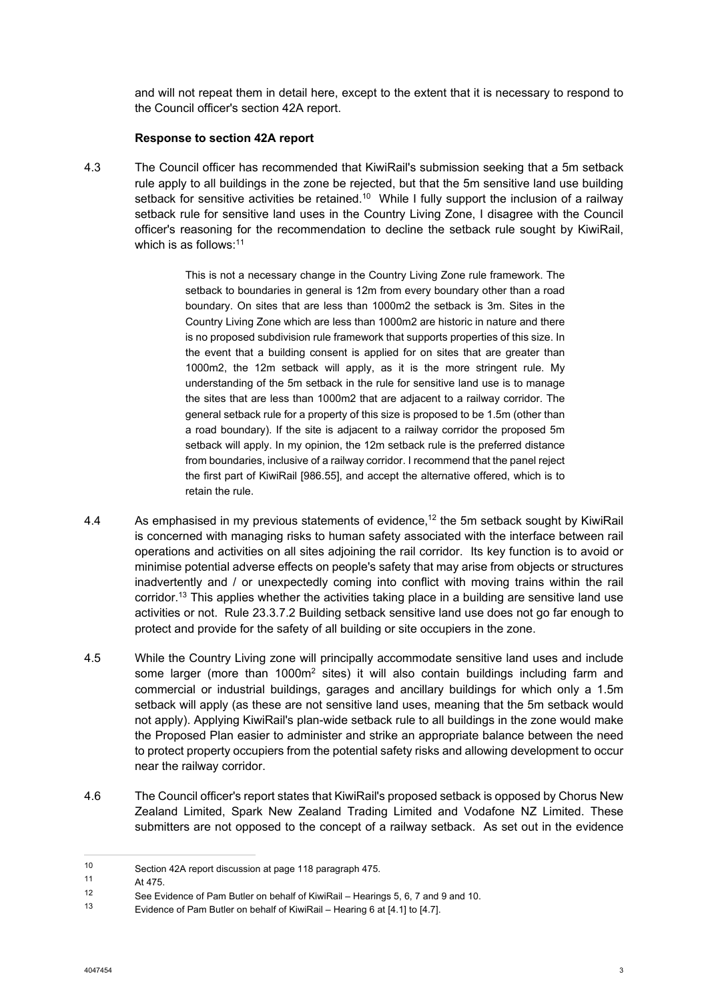and will not repeat them in detail here, except to the extent that it is necessary to respond to the Council officer's section 42A report.

#### **Response to section 42A report**

4.3 The Council officer has recommended that KiwiRail's submission seeking that a 5m setback rule apply to all buildings in the zone be rejected, but that the 5m sensitive land use building setback for sensitive activities be retained.<sup>10</sup> While I fully support the inclusion of a railway setback rule for sensitive land uses in the Country Living Zone, I disagree with the Council officer's reasoning for the recommendation to decline the setback rule sought by KiwiRail, which is as follows: $11$ 

> This is not a necessary change in the Country Living Zone rule framework. The setback to boundaries in general is 12m from every boundary other than a road boundary. On sites that are less than 1000m2 the setback is 3m. Sites in the Country Living Zone which are less than 1000m2 are historic in nature and there is no proposed subdivision rule framework that supports properties of this size. In the event that a building consent is applied for on sites that are greater than 1000m2, the 12m setback will apply, as it is the more stringent rule. My understanding of the 5m setback in the rule for sensitive land use is to manage the sites that are less than 1000m2 that are adjacent to a railway corridor. The general setback rule for a property of this size is proposed to be 1.5m (other than a road boundary). If the site is adjacent to a railway corridor the proposed 5m setback will apply. In my opinion, the 12m setback rule is the preferred distance from boundaries, inclusive of a railway corridor. I recommend that the panel reject the first part of KiwiRail [986.55], and accept the alternative offered, which is to retain the rule.

- 4.4 As emphasised in my previous statements of evidence,<sup>12</sup> the 5m setback sought by KiwiRail is concerned with managing risks to human safety associated with the interface between rail operations and activities on all sites adjoining the rail corridor. Its key function is to avoid or minimise potential adverse effects on people's safety that may arise from objects or structures inadvertently and / or unexpectedly coming into conflict with moving trains within the rail corridor.<sup>13</sup> This applies whether the activities taking place in a building are sensitive land use activities or not. Rule 23.3.7.2 Building setback sensitive land use does not go far enough to protect and provide for the safety of all building or site occupiers in the zone.
- 4.5 While the Country Living zone will principally accommodate sensitive land uses and include some larger (more than 1000 $m^2$  sites) it will also contain buildings including farm and commercial or industrial buildings, garages and ancillary buildings for which only a 1.5m setback will apply (as these are not sensitive land uses, meaning that the 5m setback would not apply). Applying KiwiRail's plan-wide setback rule to all buildings in the zone would make the Proposed Plan easier to administer and strike an appropriate balance between the need to protect property occupiers from the potential safety risks and allowing development to occur near the railway corridor.
- 4.6 The Council officer's report states that KiwiRail's proposed setback is opposed by Chorus New Zealand Limited, Spark New Zealand Trading Limited and Vodafone NZ Limited. These submitters are not opposed to the concept of a railway setback. As set out in the evidence

<sup>10</sup> Section 42A report discussion at page 118 paragraph 475.

 $11$  At 475.

<sup>12</sup> See Evidence of Pam Butler on behalf of KiwiRail – Hearings 5, 6, 7 and 9 and 10.

Evidence of Pam Butler on behalf of KiwiRail – Hearing 6 at [4.1] to [4.7].